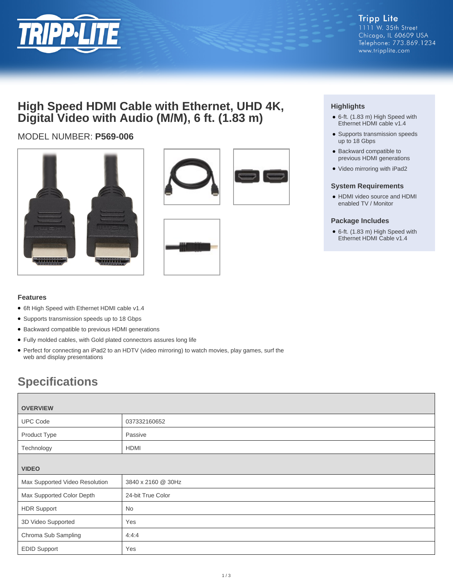

# **High Speed HDMI Cable with Ethernet, UHD 4K, Digital Video with Audio (M/M), 6 ft. (1.83 m)**

## MODEL NUMBER: **P569-006**









## **Highlights**

- 6-ft. (1.83 m) High Speed with Ethernet HDMI cable v1.4
- Supports transmission speeds up to 18 Gbps
- Backward compatible to previous HDMI generations
- Video mirroring with iPad2

#### **System Requirements**

• HDMI video source and HDMI enabled TV / Monitor

#### **Package Includes**

● 6-ft. (1.83 m) High Speed with Ethernet HDMI Cable v1.4

### **Features**

- 6ft High Speed with Ethernet HDMI cable v1.4
- Supports transmission speeds up to 18 Gbps
- Backward compatible to previous HDMI generations
- Fully molded cables, with Gold plated connectors assures long life
- Perfect for connecting an iPad2 to an HDTV (video mirroring) to watch movies, play games, surf the web and display presentations

# **Specifications**

| <b>OVERVIEW</b>                |                    |  |
|--------------------------------|--------------------|--|
| <b>UPC Code</b>                | 037332160652       |  |
| Product Type                   | Passive            |  |
| Technology                     | HDMI               |  |
|                                |                    |  |
| <b>VIDEO</b>                   |                    |  |
| Max Supported Video Resolution | 3840 x 2160 @ 30Hz |  |
| Max Supported Color Depth      | 24-bit True Color  |  |
| <b>HDR Support</b>             | No                 |  |
| 3D Video Supported             | Yes                |  |
| Chroma Sub Sampling            | 4:4:4              |  |
| <b>EDID Support</b>            | Yes                |  |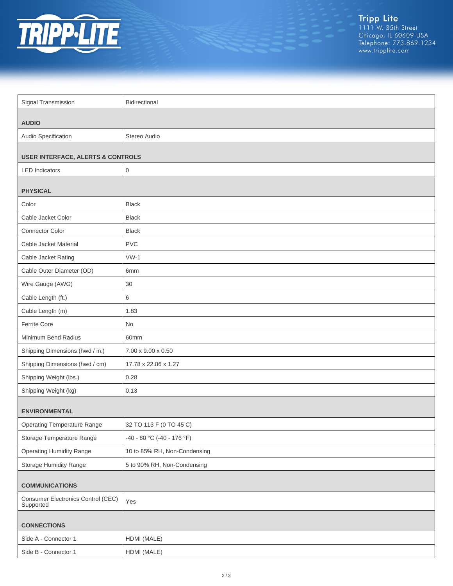

Tripp Lite<br>1111 W. 35th Street<br>Chicago, IL 60609 USA<br>Telephone: 773.869.1234<br>www.tripplite.com

| Signal Transmission                             | Bidirectional                |  |
|-------------------------------------------------|------------------------------|--|
|                                                 |                              |  |
| <b>AUDIO</b>                                    |                              |  |
| Audio Specification                             | Stereo Audio                 |  |
| <b>USER INTERFACE, ALERTS &amp; CONTROLS</b>    |                              |  |
| <b>LED</b> Indicators                           | $\boldsymbol{0}$             |  |
|                                                 |                              |  |
| <b>PHYSICAL</b>                                 |                              |  |
| Color                                           | <b>Black</b>                 |  |
| Cable Jacket Color                              | <b>Black</b>                 |  |
| <b>Connector Color</b>                          | <b>Black</b>                 |  |
| Cable Jacket Material                           | <b>PVC</b>                   |  |
| Cable Jacket Rating                             | $VW-1$                       |  |
| Cable Outer Diameter (OD)                       | 6mm                          |  |
| Wire Gauge (AWG)                                | 30                           |  |
| Cable Length (ft.)                              | 6                            |  |
| Cable Length (m)                                | 1.83                         |  |
| Ferrite Core                                    | <b>No</b>                    |  |
| Minimum Bend Radius                             | 60mm                         |  |
| Shipping Dimensions (hwd / in.)                 | 7.00 x 9.00 x 0.50           |  |
| Shipping Dimensions (hwd / cm)                  | 17.78 x 22.86 x 1.27         |  |
| Shipping Weight (lbs.)                          | 0.28                         |  |
| Shipping Weight (kg)                            | 0.13                         |  |
| <b>ENVIRONMENTAL</b>                            |                              |  |
| <b>Operating Temperature Range</b>              | 32 TO 113 F (0 TO 45 C)      |  |
| Storage Temperature Range                       | -40 - 80 °C (-40 - 176 °F)   |  |
| <b>Operating Humidity Range</b>                 | 10 to 85% RH, Non-Condensing |  |
| Storage Humidity Range                          | 5 to 90% RH, Non-Condensing  |  |
|                                                 |                              |  |
| <b>COMMUNICATIONS</b>                           |                              |  |
| Consumer Electronics Control (CEC)<br>Supported | Yes                          |  |
| <b>CONNECTIONS</b>                              |                              |  |
| Side A - Connector 1                            | HDMI (MALE)                  |  |
| Side B - Connector 1                            | HDMI (MALE)                  |  |